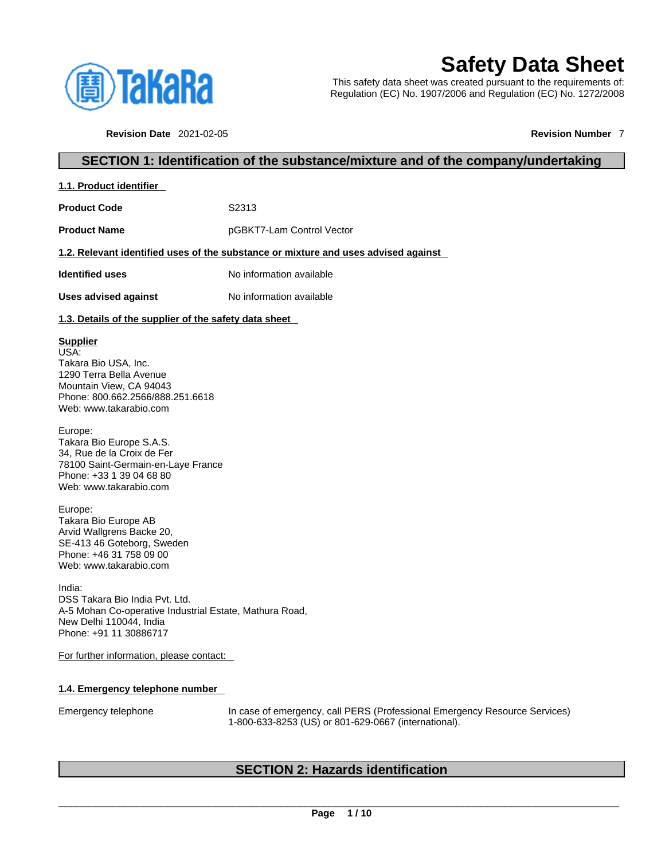

# **Safety Data Sheet**

This safety data sheet was created pursuant to the requirements of: Regulation (EC) No. 1907/2006 and Regulation (EC) No. 1272/2008

**Revision Date** 2021-02-05 **Revision Number** 7

## **SECTION 1: Identification of the substance/mixture and of the company/undertaking**

**1.1. Product identifier** 

**Product Code 52313** 

**Product Name pGBKT7-Lam Control Vector** 

#### **1.2. Relevant identified uses of the substance or mixture and uses advised against**

**Identified uses** No information available

**Uses advised against** No information available

#### **1.3. Details of the supplier of the safety data sheet**

#### **Supplier**

USA: Takara Bio USA, Inc. 1290 Terra Bella Avenue Mountain View, CA 94043 Phone: 800.662.2566/888.251.6618 Web: www.takarabio.com

Europe: Takara Bio Europe S.A.S. 34, Rue de la Croix de Fer 78100 Saint-Germain-en-Laye France Phone: +33 1 39 04 68 80 Web: www.takarabio.com

Europe: Takara Bio Europe AB Arvid Wallgrens Backe 20, SE-413 46 Goteborg, Sweden Phone: +46 31 758 09 00 Web: www.takarabio.com

India: DSS Takara Bio India Pvt. Ltd. A-5 Mohan Co-operative Industrial Estate, Mathura Road, New Delhi 110044, India Phone: +91 11 30886717

For further information, please contact:

#### **1.4. Emergency telephone number**

Emergency telephone In case of emergency, call PERS (Professional Emergency Resource Services) 1-800-633-8253 (US) or 801-629-0667 (international).

# **SECTION 2: Hazards identification**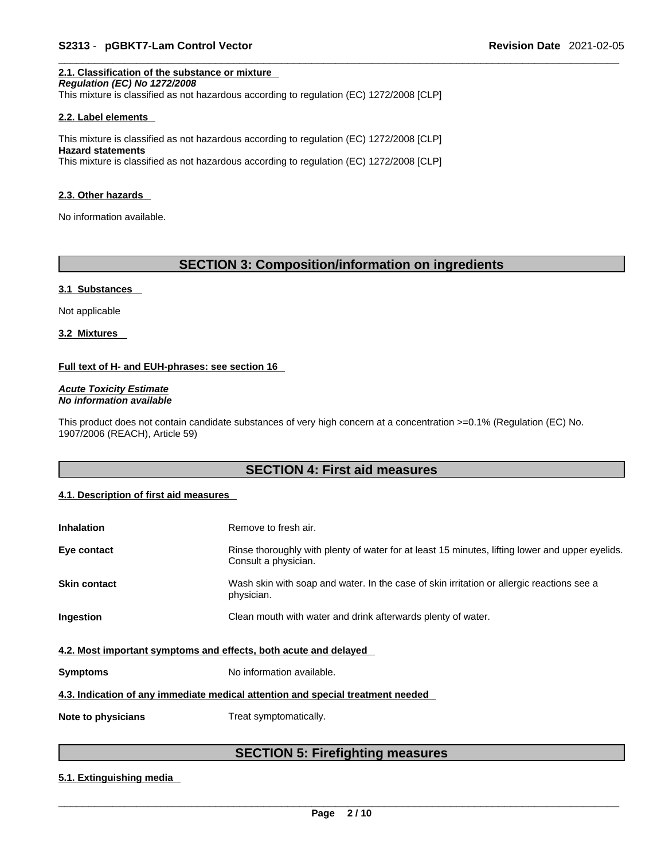#### **2.1. Classification of the substance or mixture**

*Regulation (EC) No 1272/2008*  This mixture is classified as not hazardous according to regulation (EC) 1272/2008 [CLP]

#### **2.2. Label elements**

This mixture is classified as not hazardous according to regulation (EC) 1272/2008 [CLP] **Hazard statements** This mixture is classified as not hazardous according to regulation (EC) 1272/2008 [CLP]

#### **2.3. Other hazards**

No information available.

# **SECTION 3: Composition/information on ingredients**

#### **3.1 Substances**

Not applicable

**3.2 Mixtures** 

#### **Full text of H- and EUH-phrases: see section 16**

*Acute Toxicity Estimate No information available* 

This product does not contain candidate substances of very high concern at a concentration >=0.1% (Regulation (EC) No. 1907/2006 (REACH), Article 59)

### **SECTION 4: First aid measures**

#### **4.1. Description of first aid measures**

| <b>Inhalation</b>                                                               | Remove to fresh air.                                                                                                    |  |  |
|---------------------------------------------------------------------------------|-------------------------------------------------------------------------------------------------------------------------|--|--|
| Eye contact                                                                     | Rinse thoroughly with plenty of water for at least 15 minutes, lifting lower and upper eyelids.<br>Consult a physician. |  |  |
| <b>Skin contact</b>                                                             | Wash skin with soap and water. In the case of skin irritation or allergic reactions see a<br>physician.                 |  |  |
| Ingestion                                                                       | Clean mouth with water and drink afterwards plenty of water.                                                            |  |  |
| 4.2. Most important symptoms and effects, both acute and delayed                |                                                                                                                         |  |  |
| <b>Symptoms</b>                                                                 | No information available.                                                                                               |  |  |
| 4.3. Indication of any immediate medical attention and special treatment needed |                                                                                                                         |  |  |
| Note to physicians                                                              | Treat symptomatically.                                                                                                  |  |  |

# **SECTION 5: Firefighting measures**

#### **5.1. Extinguishing media**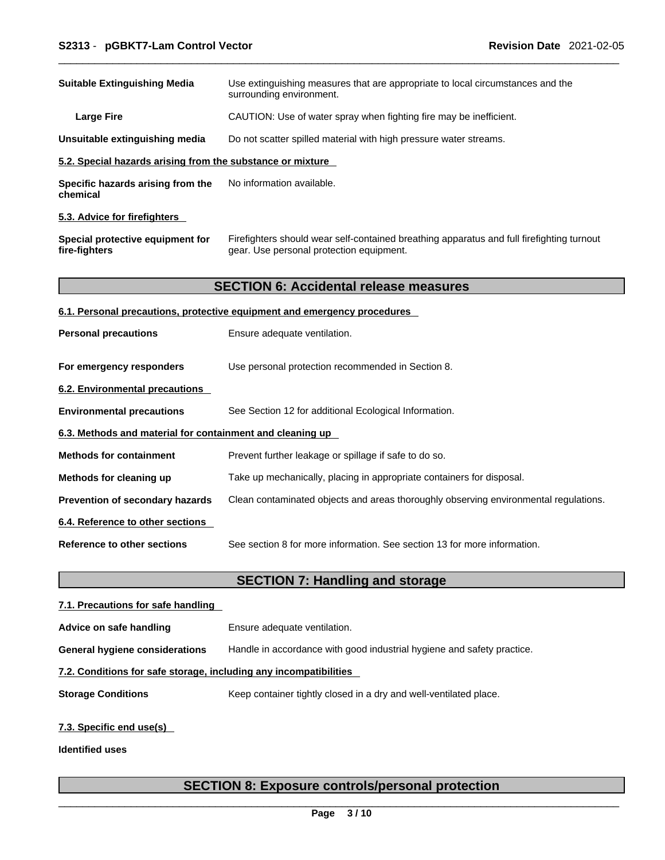| <b>Suitable Extinguishing Media</b>                        | Use extinguishing measures that are appropriate to local circumstances and the<br>surrounding environment.                            |
|------------------------------------------------------------|---------------------------------------------------------------------------------------------------------------------------------------|
| <b>Large Fire</b>                                          | CAUTION: Use of water spray when fighting fire may be inefficient.                                                                    |
| Unsuitable extinguishing media                             | Do not scatter spilled material with high pressure water streams.                                                                     |
| 5.2. Special hazards arising from the substance or mixture |                                                                                                                                       |
| Specific hazards arising from the<br>chemical              | No information available.                                                                                                             |
| 5.3. Advice for firefighters                               |                                                                                                                                       |
| Special protective equipment for<br>fire-fighters          | Firefighters should wear self-contained breathing apparatus and full firefighting turnout<br>gear. Use personal protection equipment. |
|                                                            | <b>SECTION 6: Accidental release measures</b>                                                                                         |
|                                                            | 6.1. Personal precautions, protective equipment and emergency procedures                                                              |
| <b>Personal precautions</b>                                | Ensure adequate ventilation.                                                                                                          |
| For emergency responders                                   | Use personal protection recommended in Section 8.                                                                                     |
| 6.2. Environmental precautions                             |                                                                                                                                       |
| <b>Environmental precautions</b>                           | See Section 12 for additional Ecological Information.                                                                                 |
| 6.3. Methods and material for containment and cleaning up  |                                                                                                                                       |
| <b>Methods for containment</b>                             | Prevent further leakage or spillage if safe to do so.                                                                                 |
| Methods for cleaning up                                    | Take up mechanically, placing in appropriate containers for disposal.                                                                 |
| Prevention of secondary hazards                            | Clean contaminated objects and areas thoroughly observing environmental regulations.                                                  |
| 6.4. Reference to other sections                           |                                                                                                                                       |
| <b>Reference to other sections</b>                         | See section 8 for more information. See section 13 for more information.                                                              |
|                                                            | <b>SECTION 7: Handling and storage</b>                                                                                                |
| 7.1. Precautions for safe handling                         |                                                                                                                                       |
| Advice on safe handling                                    | Ensure adequate ventilation.                                                                                                          |

**General hygiene considerations** Handle in accordance with good industrial hygiene and safety practice.

### **7.2. Conditions for safe storage, including any incompatibilities**

**Storage Conditions** Keep container tightly closed in a dry and well-ventilated place.

### **7.3. Specific end use(s)**

**Identified uses**

# **SECTION 8: Exposure controls/personal protection**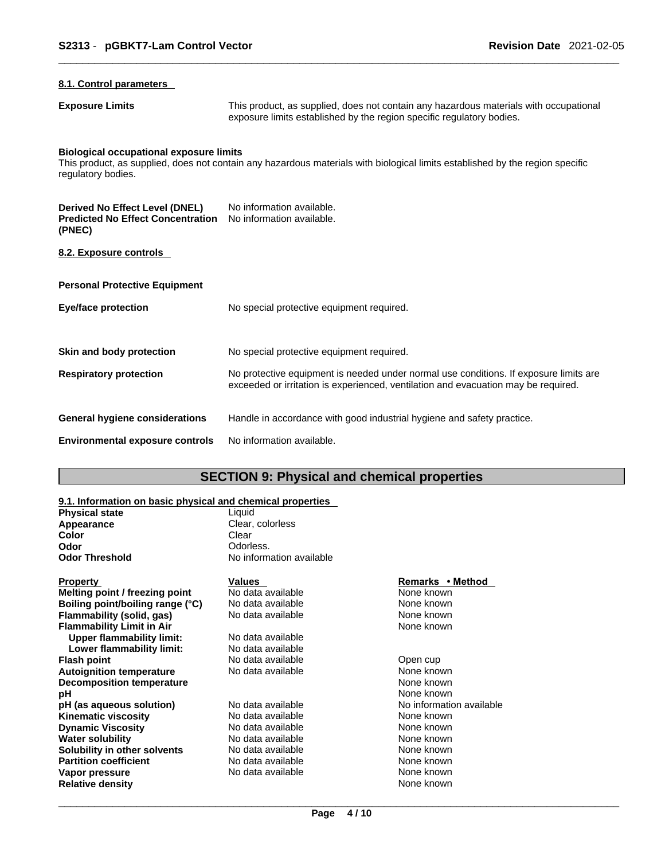# **8.1. Control parameters Exposure Limits** This product, as supplied, does not contain any hazardous materials with occupational exposure limits established by the region specific regulatory bodies. **Biological occupational exposure limits** This product, as supplied, does not contain any hazardous materials with biological limits established by the region specific regulatory bodies. **Derived No Effect Level (DNEL)** No information available. **Predicted No Effect Concentration** No information available. **(PNEC) 8.2. Exposure controls Personal Protective Equipment Eye/face protection** No special protective equipment required. **Skin and body protection** No special protective equipment required. **Respiratory protection** No protective equipment is needed under normal use conditions. If exposure limits are exceeded or irritation is experienced, ventilation and evacuation may be required. **General hygiene considerations** Handle in accordance with good industrial hygiene and safety practice. **Environmental exposure controls** No information available.

### **SECTION 9: Physical and chemical properties**

#### **9.1. Information on basic physical and chemical properties**

| <b>Physical state</b>            | Liquid                   |                          |
|----------------------------------|--------------------------|--------------------------|
| Appearance                       | Clear, colorless         |                          |
| Color                            | Clear                    |                          |
| Odor                             | Odorless.                |                          |
| Odor Threshold                   | No information available |                          |
| Property                         | <b>Values</b>            | Remarks • Method         |
| Melting point / freezing point   | No data available        | None known               |
| Boiling point/boiling range (°C) | No data available        | None known               |
| Flammability (solid, gas)        | No data available        | None known               |
| <b>Flammability Limit in Air</b> |                          | None known               |
| <b>Upper flammability limit:</b> | No data available        |                          |
| Lower flammability limit:        | No data available        |                          |
| Flash point                      | No data available        | Open cup                 |
| <b>Autoignition temperature</b>  | No data available        | None known               |
| <b>Decomposition temperature</b> |                          | None known               |
| рH                               |                          | None known               |
| pH (as aqueous solution)         | No data available        | No information available |
| Kinematic viscosity              | No data available        | None known               |
| <b>Dynamic Viscosity</b>         | No data available        | None known               |
| Water solubility                 | No data available        | None known               |
| Solubility in other solvents     | No data available        | None known               |
| <b>Partition coefficient</b>     | No data available        | None known               |
| Vapor pressure                   | No data available        | None known               |
| <b>Relative density</b>          |                          | None known               |
|                                  |                          |                          |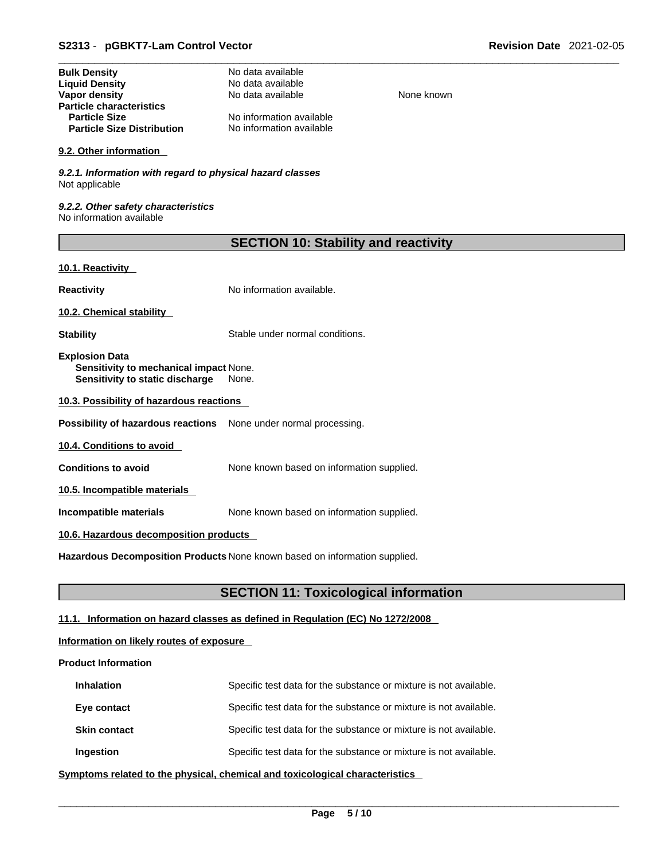| <b>Bulk Density</b>               | No data available        |
|-----------------------------------|--------------------------|
| <b>Liquid Density</b>             | No data available        |
| Vapor density                     | No data available        |
| <b>Particle characteristics</b>   |                          |
| <b>Particle Size</b>              | No information available |
| <b>Particle Size Distribution</b> | No information available |

#### **9.2. Other information**

*9.2.1. Information with regard to physical hazard classes* Not applicable

*9.2.2. Other safety characteristics* No information available

| <b>SECTION 10: Stability and reactivity</b> |  |  |
|---------------------------------------------|--|--|
|---------------------------------------------|--|--|

**None known** 

#### **10.1. Reactivity**

**Reactivity No information available.** 

**10.2. Chemical stability** 

**Stability** Stable under normal conditions.

**Explosion Data Sensitivity to mechanical impact** None. **Sensitivity to static discharge** None.

**10.3. Possibility of hazardous reactions**

**Possibility of hazardous reactions** None under normal processing.

**10.4. Conditions to avoid** 

**Conditions to avoid** None known based on information supplied.

**10.5. Incompatible materials**

**Incompatible materials** None known based on information supplied.

#### **10.6. Hazardous decomposition products**

**Hazardous Decomposition Products** None known based on information supplied.

### **SECTION 11: Toxicological information**

### **11.1. Information on hazard classes as defined in Regulation (EC) No 1272/2008**

#### **Information on likely routes of exposure**

#### **Product Information**

| <b>Inhalation</b>   | Specific test data for the substance or mixture is not available. |
|---------------------|-------------------------------------------------------------------|
| Eye contact         | Specific test data for the substance or mixture is not available. |
| <b>Skin contact</b> | Specific test data for the substance or mixture is not available. |
| Ingestion           | Specific test data for the substance or mixture is not available. |

**<u>Symptoms related to the physical, chemical and toxicological characteristics</u>**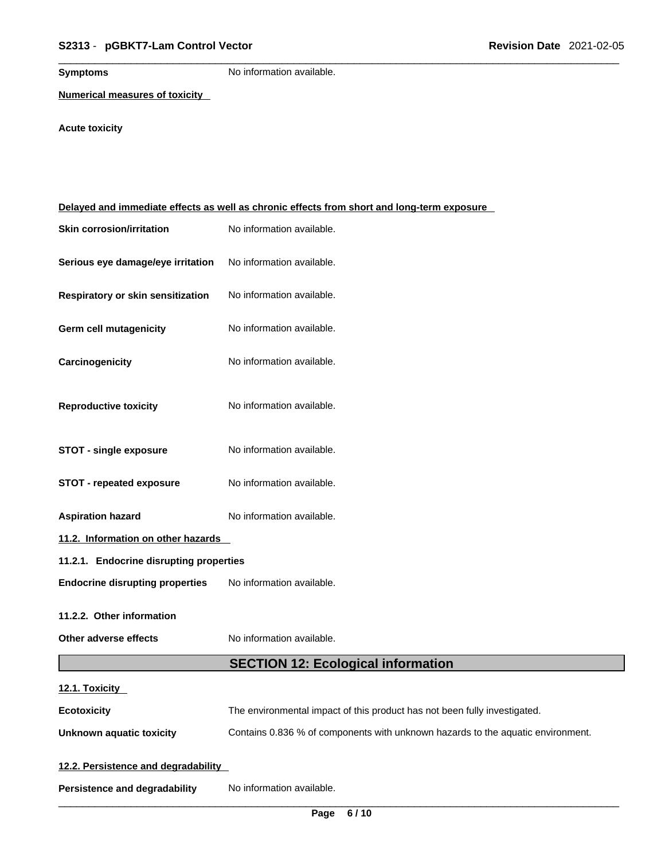**Symptoms** No information available.

**Numerical measures of toxicity**

# **Acute toxicity**

| Delayed and immediate effects as well as chronic effects from short and long-term exposure |                                                                                 |  |  |
|--------------------------------------------------------------------------------------------|---------------------------------------------------------------------------------|--|--|
| <b>Skin corrosion/irritation</b>                                                           | No information available.                                                       |  |  |
| Serious eye damage/eye irritation                                                          | No information available.                                                       |  |  |
| Respiratory or skin sensitization                                                          | No information available.                                                       |  |  |
| <b>Germ cell mutagenicity</b>                                                              | No information available.                                                       |  |  |
| Carcinogenicity                                                                            | No information available.                                                       |  |  |
| <b>Reproductive toxicity</b>                                                               | No information available.                                                       |  |  |
| <b>STOT - single exposure</b>                                                              | No information available.                                                       |  |  |
| <b>STOT - repeated exposure</b>                                                            | No information available.                                                       |  |  |
| <b>Aspiration hazard</b>                                                                   | No information available.                                                       |  |  |
| 11.2. Information on other hazards                                                         |                                                                                 |  |  |
| 11.2.1. Endocrine disrupting properties                                                    |                                                                                 |  |  |
| <b>Endocrine disrupting properties</b>                                                     | No information available.                                                       |  |  |
| 11.2.2. Other information                                                                  |                                                                                 |  |  |
| Other adverse effects                                                                      | No information available.                                                       |  |  |
|                                                                                            | <b>SECTION 12: Ecological information</b>                                       |  |  |
| 12.1. Toxicity                                                                             |                                                                                 |  |  |
| <b>Ecotoxicity</b>                                                                         | The environmental impact of this product has not been fully investigated.       |  |  |
| <b>Unknown aquatic toxicity</b>                                                            | Contains 0.836 % of components with unknown hazards to the aquatic environment. |  |  |
| 12.2. Persistence and degradability                                                        |                                                                                 |  |  |
| <b>Persistence and degradability</b>                                                       | No information available.                                                       |  |  |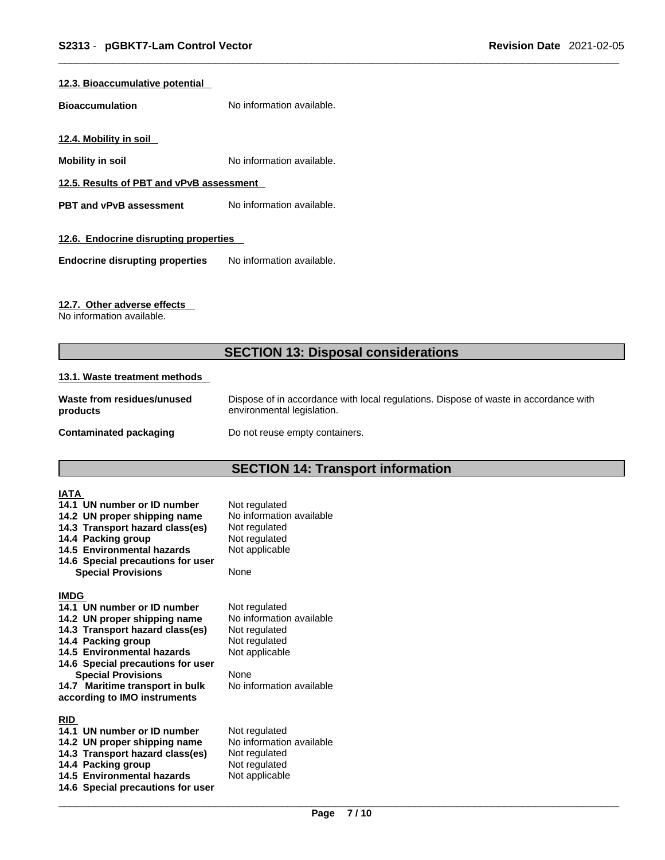#### **12.3. Bioaccumulative potential**

**Bioaccumulation** No information available.

**12.4. Mobility in soil** 

**Mobility in soil Mobility in soil No** information available.

**12.5. Results of PBT and vPvB assessment**

**PBT** and **vPvB** assessment No information available.

#### **12.6. Endocrine disrupting properties**

**Endocrine disrupting properties** No information available.

#### **12.7. Other adverse effects**

No information available.

# **SECTION 13: Disposal considerations**

#### **13.1. Waste treatment methods**

| Waste from residues/unused | Dispose of in accordance with local regulations. Dispose of waste in accordance with |
|----------------------------|--------------------------------------------------------------------------------------|
| products                   | environmental legislation.                                                           |
| Contaminated packaging     | Do not reuse empty containers.                                                       |

# **SECTION 14: Transport information**

| <b>IATA</b><br>14.1 UN number or ID number<br>14.2 UN proper shipping name<br>14.3 Transport hazard class(es)<br>14.4 Packing group<br>14.5 Environmental hazards<br>14.6 Special precautions for user<br><b>Special Provisions</b>                                                                    | Not regulated<br>No information available<br>Not regulated<br>Not regulated<br>Not applicable<br>None                             |
|--------------------------------------------------------------------------------------------------------------------------------------------------------------------------------------------------------------------------------------------------------------------------------------------------------|-----------------------------------------------------------------------------------------------------------------------------------|
| <b>IMDG</b><br>14.1 UN number or ID number<br>14.2 UN proper shipping name<br>14.3 Transport hazard class(es)<br>14.4 Packing group<br>14.5 Environmental hazards<br>14.6 Special precautions for user<br><b>Special Provisions</b><br>14.7 Maritime transport in bulk<br>according to IMO instruments | Not regulated<br>No information available<br>Not regulated<br>Not regulated<br>Not applicable<br>None<br>No information available |
| <b>RID</b><br>14.1 UN number or ID number<br>14.2 UN proper shipping name<br>14.3 Transport hazard class(es)<br>14.4 Packing group<br>14.5 Environmental hazards<br>14.6 Special precautions for user                                                                                                  | Not regulated<br>No information available<br>Not regulated<br>Not regulated<br>Not applicable                                     |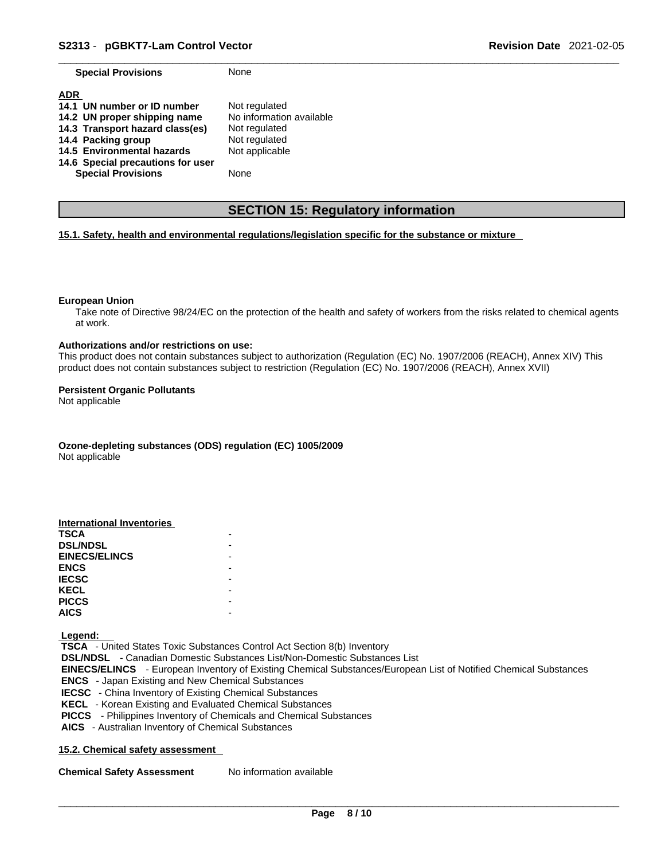**Special Provisions** None

| <b>ADR</b><br>14.1 UN number or ID number | Not regulated            |
|-------------------------------------------|--------------------------|
| 14.2 UN proper shipping name              | No information available |
| 14.3 Transport hazard class(es)           | Not regulated            |
| 14.4 Packing group                        | Not regulated            |
| 14.5 Environmental hazards                | Not applicable           |
| 14.6 Special precautions for user         |                          |
| <b>Special Provisions</b>                 | None                     |

## **SECTION 15: Regulatory information**

#### **15.1. Safety, health and environmental regulations/legislation specific for the substance or mixture**

#### **European Union**

Take note of Directive 98/24/EC on the protection of the health and safety of workers from the risks related to chemical agents at work.

#### **Authorizations and/or restrictions on use:**

This product does not contain substances subject to authorization (Regulation (EC) No. 1907/2006 (REACH), Annex XIV) This product does not contain substances subject to restriction (Regulation (EC) No. 1907/2006 (REACH), Annex XVII)

#### **Persistent Organic Pollutants**

Not applicable

**Ozone-depleting substances (ODS) regulation (EC) 1005/2009**

Not applicable

| International Inventories |  |
|---------------------------|--|
| <b>TSCA</b>               |  |
| <b>DSL/NDSL</b>           |  |
| <b>EINECS/ELINCS</b>      |  |
| <b>ENCS</b>               |  |
| <b>IECSC</b>              |  |
| <b>KECL</b>               |  |
| <b>PICCS</b>              |  |
| <b>AICS</b>               |  |

 **Legend:** 

 **TSCA** - United States Toxic Substances Control Act Section 8(b) Inventory  **DSL/NDSL** - Canadian Domestic Substances List/Non-Domestic Substances List  **EINECS/ELINCS** - European Inventory of Existing Chemical Substances/European List of Notified Chemical Substances  **ENCS** - Japan Existing and New Chemical Substances  **IECSC** - China Inventory of Existing Chemical Substances  **KECL** - Korean Existing and Evaluated Chemical Substances  **PICCS** - Philippines Inventory of Chemicals and Chemical Substances  **AICS** - Australian Inventory of Chemical Substances

#### **15.2. Chemical safety assessment**

**Chemical Safety Assessment** No information available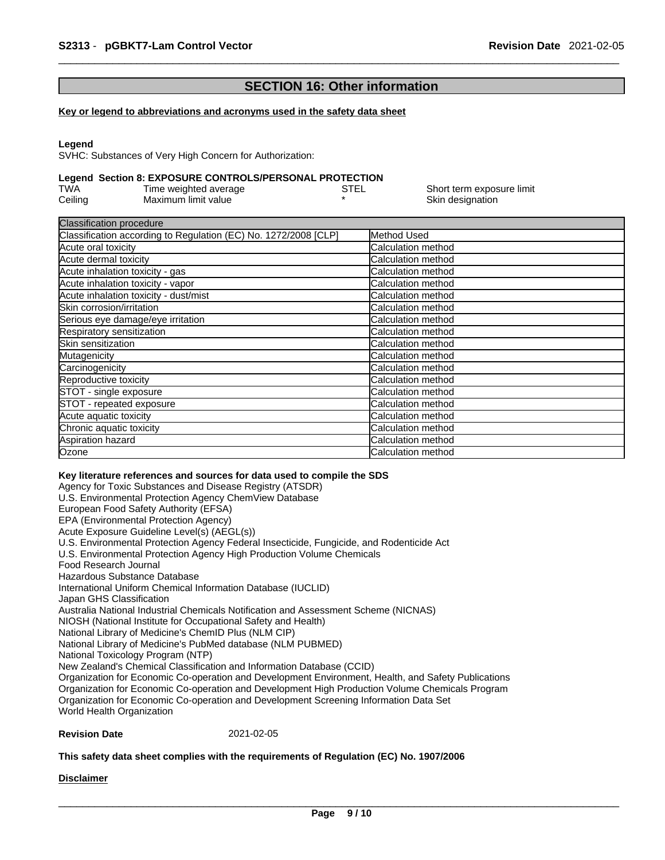# **SECTION 16: Other information**

#### **Key or legend to abbreviations and acronyms used in the safety data sheet**

#### **Legend**

SVHC: Substances of Very High Concern for Authorization:

#### **Legend Section 8: EXPOSURE CONTROLS/PERSONAL PROTECTION**

| TWA     | Time weighted average | STEL | Short term exposure limit |
|---------|-----------------------|------|---------------------------|
| Ceiling | Maximum limit value   |      | Skin designation          |

| <b>Classification procedure</b>                                 |                            |
|-----------------------------------------------------------------|----------------------------|
| Classification according to Regulation (EC) No. 1272/2008 [CLP] | Method Used                |
| Acute oral toxicity                                             | Calculation method         |
| Acute dermal toxicity                                           | Calculation method         |
| Acute inhalation toxicity - gas                                 | Calculation method         |
| Acute inhalation toxicity - vapor                               | Calculation method         |
| Acute inhalation toxicity - dust/mist                           | <b>Calculation method</b>  |
| Skin corrosion/irritation                                       | <b>Calculation method</b>  |
| Serious eye damage/eye irritation                               | Calculation method         |
| Respiratory sensitization                                       | Calculation method         |
| Skin sensitization                                              | Calculation method         |
| Mutagenicity                                                    | Calculation method         |
| Carcinogenicity                                                 | Calculation method         |
| Reproductive toxicity                                           | <b>Calculation method</b>  |
| STOT - single exposure                                          | <b>ICalculation method</b> |
| STOT - repeated exposure                                        | Calculation method         |
| Acute aquatic toxicity                                          | <b>Calculation method</b>  |
| Chronic aquatic toxicity                                        | Calculation method         |
| Aspiration hazard                                               | Calculation method         |
| Ozone                                                           | Calculation method         |

#### **Key literature references and sources for data used to compile the SDS**

Agency for Toxic Substances and Disease Registry (ATSDR) U.S. Environmental Protection Agency ChemView Database European Food Safety Authority (EFSA) EPA (Environmental Protection Agency) Acute Exposure Guideline Level(s) (AEGL(s)) U.S. Environmental Protection Agency Federal Insecticide, Fungicide, and Rodenticide Act U.S. Environmental Protection Agency High Production Volume Chemicals Food Research Journal Hazardous Substance Database International Uniform Chemical Information Database (IUCLID) Japan GHS Classification Australia National Industrial Chemicals Notification and Assessment Scheme (NICNAS) NIOSH (National Institute for Occupational Safety and Health) National Library of Medicine's ChemID Plus (NLM CIP) National Library of Medicine's PubMed database (NLM PUBMED) National Toxicology Program (NTP) New Zealand's Chemical Classification and Information Database (CCID) Organization for Economic Co-operation and Development Environment, Health, and Safety Publications Organization for Economic Co-operation and Development High Production Volume Chemicals Program Organization for Economic Co-operation and Development Screening Information Data Set World Health Organization

#### **Revision Date** 2021-02-05

#### **This safety data sheet complies with the requirements of Regulation (EC) No. 1907/2006**

#### **Disclaimer**